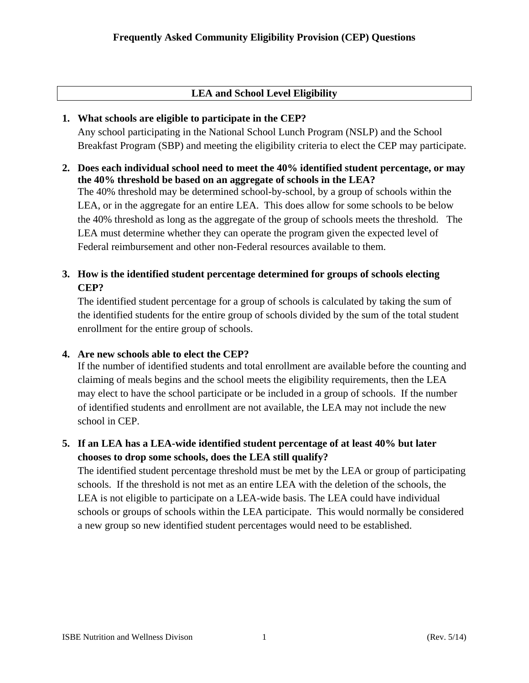# **LEA and School Level Eligibility**

## **1. What schools are eligible to participate in the CEP?**

Any school participating in the National School Lunch Program (NSLP) and the School Breakfast Program (SBP) and meeting the eligibility criteria to elect the CEP may participate.

**2. Does each individual school need to meet the 40% identified student percentage, or may the 40% threshold be based on an aggregate of schools in the LEA?** 

The 40% threshold may be determined school-by-school, by a group of schools within the LEA, or in the aggregate for an entire LEA. This does allow for some schools to be below the 40% threshold as long as the aggregate of the group of schools meets the threshold. The LEA must determine whether they can operate the program given the expected level of Federal reimbursement and other non-Federal resources available to them.

# **3. How is the identified student percentage determined for groups of schools electing CEP?**

The identified student percentage for a group of schools is calculated by taking the sum of the identified students for the entire group of schools divided by the sum of the total student enrollment for the entire group of schools.

# **4. Are new schools able to elect the CEP?**

If the number of identified students and total enrollment are available before the counting and claiming of meals begins and the school meets the eligibility requirements, then the LEA may elect to have the school participate or be included in a group of schools. If the number of identified students and enrollment are not available, the LEA may not include the new school in CEP.

# **5. If an LEA has a LEA-wide identified student percentage of at least 40% but later chooses to drop some schools, does the LEA still qualify?**

The identified student percentage threshold must be met by the LEA or group of participating schools. If the threshold is not met as an entire LEA with the deletion of the schools, the LEA is not eligible to participate on a LEA-wide basis. The LEA could have individual schools or groups of schools within the LEA participate. This would normally be considered a new group so new identified student percentages would need to be established.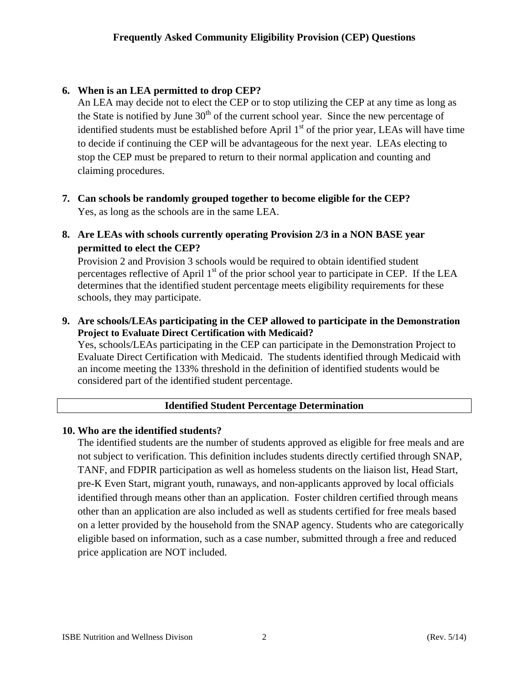# **6. When is an LEA permitted to drop CEP?**

An LEA may decide not to elect the CEP or to stop utilizing the CEP at any time as long as the State is notified by June  $30<sup>th</sup>$  of the current school year. Since the new percentage of identified students must be established before April  $1<sup>st</sup>$  of the prior year, LEAs will have time to decide if continuing the CEP will be advantageous for the next year. LEAs electing to stop the CEP must be prepared to return to their normal application and counting and claiming procedures.

- **7. Can schools be randomly grouped together to become eligible for the CEP?** Yes, as long as the schools are in the same LEA.
- **8. Are LEAs with schools currently operating Provision 2/3 in a NON BASE year permitted to elect the CEP?**

Provision 2 and Provision 3 schools would be required to obtain identified student percentages reflective of April  $1<sup>st</sup>$  of the prior school year to participate in CEP. If the LEA determines that the identified student percentage meets eligibility requirements for these schools, they may participate.

**9. Are schools/LEAs participating in the CEP allowed to participate in the Demonstration Project to Evaluate Direct Certification with Medicaid?** 

Yes, schools/LEAs participating in the CEP can participate in the Demonstration Project to Evaluate Direct Certification with Medicaid. The students identified through Medicaid with an income meeting the 133% threshold in the definition of identified students would be considered part of the identified student percentage.

# **Identified Student Percentage Determination**

### **10. Who are the identified students?**

The identified students are the number of students approved as eligible for free meals and are not subject to verification. This definition includes students directly certified through SNAP, TANF, and FDPIR participation as well as homeless students on the liaison list, Head Start, pre-K Even Start, migrant youth, runaways, and non-applicants approved by local officials identified through means other than an application. Foster children certified through means other than an application are also included as well as students certified for free meals based on a letter provided by the household from the SNAP agency. Students who are categorically eligible based on information, such as a case number, submitted through a free and reduced price application are NOT included.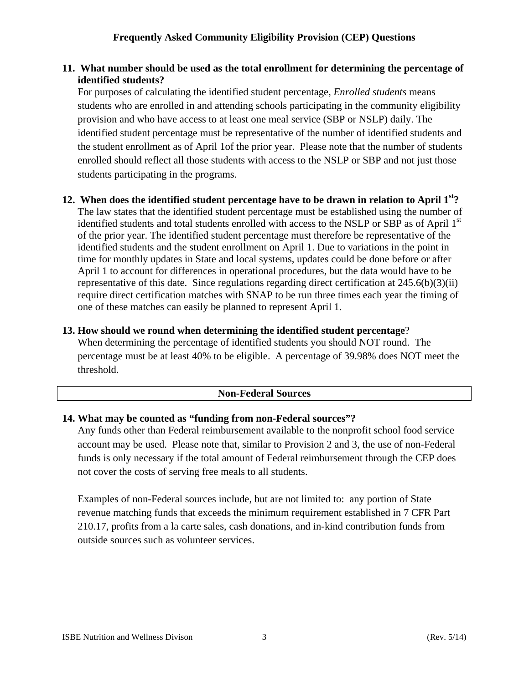## **11. What number should be used as the total enrollment for determining the percentage of identified students?**

For purposes of calculating the identified student percentage, *Enrolled students* means students who are enrolled in and attending schools participating in the community eligibility provision and who have access to at least one meal service (SBP or NSLP) daily. The identified student percentage must be representative of the number of identified students and the student enrollment as of April 1of the prior year. Please note that the number of students enrolled should reflect all those students with access to the NSLP or SBP and not just those students participating in the programs.

### **12. When does the identified student percentage have to be drawn in relation to April 1st?**  The law states that the identified student percentage must be established using the number of identified students and total students enrolled with access to the NSLP or SBP as of April 1<sup>st</sup> of the prior year. The identified student percentage must therefore be representative of the identified students and the student enrollment on April 1. Due to variations in the point in time for monthly updates in State and local systems, updates could be done before or after April 1 to account for differences in operational procedures, but the data would have to be representative of this date. Since regulations regarding direct certification at 245.6(b)(3)(ii) require direct certification matches with SNAP to be run three times each year the timing of one of these matches can easily be planned to represent April 1.

# **13. How should we round when determining the identified student percentage**? When determining the percentage of identified students you should NOT round. The percentage must be at least 40% to be eligible. A percentage of 39.98% does NOT meet the threshold.

# **Non-Federal Sources**

# **14. What may be counted as "funding from non-Federal sources"?**

Any funds other than Federal reimbursement available to the nonprofit school food service account may be used. Please note that, similar to Provision 2 and 3, the use of non-Federal funds is only necessary if the total amount of Federal reimbursement through the CEP does not cover the costs of serving free meals to all students.

Examples of non-Federal sources include, but are not limited to: any portion of State revenue matching funds that exceeds the minimum requirement established in 7 CFR Part 210.17, profits from a la carte sales, cash donations, and in-kind contribution funds from outside sources such as volunteer services.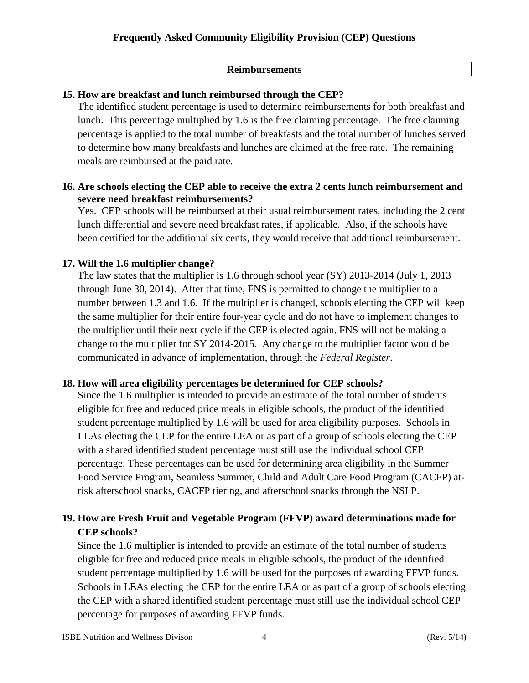### **Reimbursements**

## **15. How are breakfast and lunch reimbursed through the CEP?**

The identified student percentage is used to determine reimbursements for both breakfast and lunch. This percentage multiplied by 1.6 is the free claiming percentage. The free claiming percentage is applied to the total number of breakfasts and the total number of lunches served to determine how many breakfasts and lunches are claimed at the free rate. The remaining meals are reimbursed at the paid rate.

### **16. Are schools electing the CEP able to receive the extra 2 cents lunch reimbursement and severe need breakfast reimbursements?**

Yes. CEP schools will be reimbursed at their usual reimbursement rates, including the 2 cent lunch differential and severe need breakfast rates, if applicable. Also, if the schools have been certified for the additional six cents, they would receive that additional reimbursement.

## **17. Will the 1.6 multiplier change?**

The law states that the multiplier is 1.6 through school year (SY) 2013-2014 (July 1, 2013 through June 30, 2014). After that time, FNS is permitted to change the multiplier to a number between 1.3 and 1.6. If the multiplier is changed, schools electing the CEP will keep the same multiplier for their entire four-year cycle and do not have to implement changes to the multiplier until their next cycle if the CEP is elected again. FNS will not be making a change to the multiplier for SY 2014-2015. Any change to the multiplier factor would be communicated in advance of implementation, through the *Federal Register*.

### **18. How will area eligibility percentages be determined for CEP schools?**

Since the 1.6 multiplier is intended to provide an estimate of the total number of students eligible for free and reduced price meals in eligible schools, the product of the identified student percentage multiplied by 1.6 will be used for area eligibility purposes. Schools in LEAs electing the CEP for the entire LEA or as part of a group of schools electing the CEP with a shared identified student percentage must still use the individual school CEP percentage. These percentages can be used for determining area eligibility in the Summer Food Service Program, Seamless Summer, Child and Adult Care Food Program (CACFP) atrisk afterschool snacks, CACFP tiering, and afterschool snacks through the NSLP.

# **19. How are Fresh Fruit and Vegetable Program (FFVP) award determinations made for CEP schools?**

Since the 1.6 multiplier is intended to provide an estimate of the total number of students eligible for free and reduced price meals in eligible schools, the product of the identified student percentage multiplied by 1.6 will be used for the purposes of awarding FFVP funds. Schools in LEAs electing the CEP for the entire LEA or as part of a group of schools electing the CEP with a shared identified student percentage must still use the individual school CEP percentage for purposes of awarding FFVP funds.